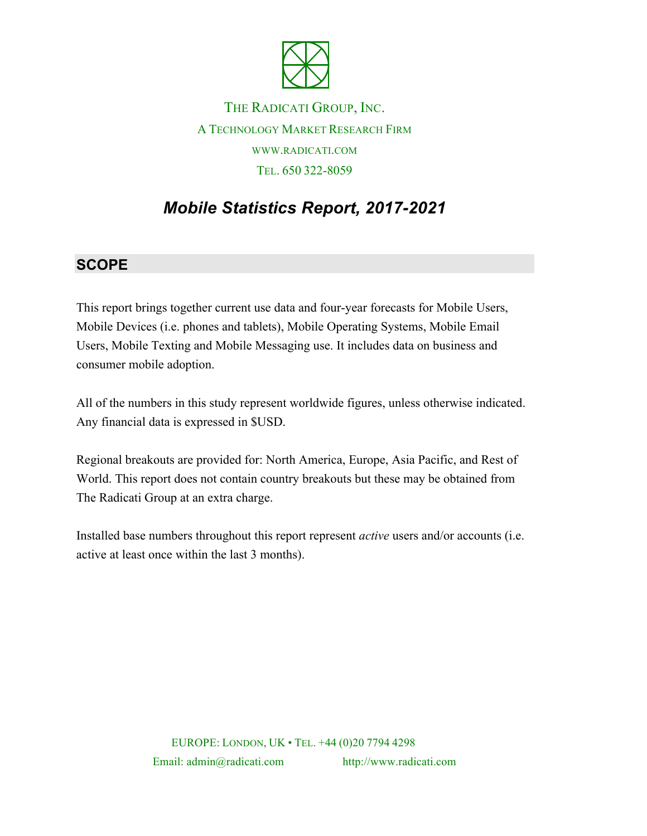

THE RADICATI GROUP, INC. A TECHNOLOGY MARKET RESEARCH FIRM WWW.RADICATI.COM TEL. 650 322-8059

## *Mobile Statistics Report, 2017-2021*

## **SCOPE**

This report brings together current use data and four-year forecasts for Mobile Users, Mobile Devices (i.e. phones and tablets), Mobile Operating Systems, Mobile Email Users, Mobile Texting and Mobile Messaging use. It includes data on business and consumer mobile adoption.

All of the numbers in this study represent worldwide figures, unless otherwise indicated. Any financial data is expressed in \$USD.

Regional breakouts are provided for: North America, Europe, Asia Pacific, and Rest of World. This report does not contain country breakouts but these may be obtained from The Radicati Group at an extra charge.

Installed base numbers throughout this report represent *active* users and/or accounts (i.e. active at least once within the last 3 months).

> EUROPE: LONDON, UK • TEL. +44 (0)20 7794 4298 Email: admin@radicati.com http://www.radicati.com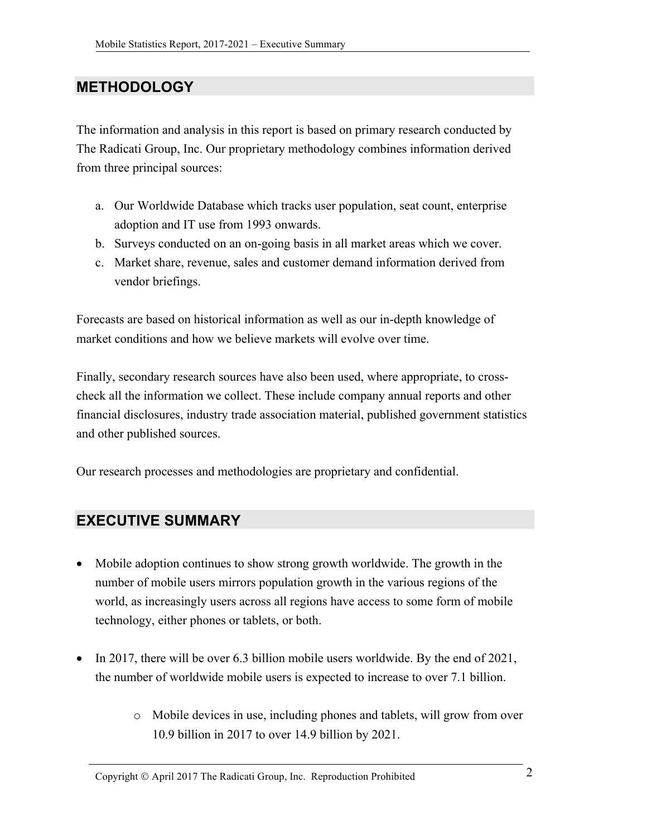## **METHODOLOGY**

The information and analysis in this report is based on primary research conducted by The Radicati Group, Inc. Our proprietary methodology combines information derived from three principal sources:

- a. Our Worldwide Database which tracks user population, seat count, enterprise adoption and IT use from 1993 onwards.
- b. Surveys conducted on an on-going basis in all market areas which we cover.
- c. Market share, revenue, sales and customer demand information derived from vendor briefings.

Forecasts are based on historical information as well as our in-depth knowledge of market conditions and how we believe markets will evolve over time.

Finally, secondary research sources have also been used, where appropriate, to crosscheck all the information we collect. These include company annual reports and other financial disclosures, industry trade association material, published government statistics and other published sources.

Our research processes and methodologies are proprietary and confidential.

## **EXECUTIVE SUMMARY**

- Mobile adoption continues to show strong growth worldwide. The growth in the number of mobile users mirrors population growth in the various regions of the world, as increasingly users across all regions have access to some form of mobile technology, either phones or tablets, or both.
- In 2017, there will be over 6.3 billion mobile users worldwide. By the end of 2021, the number of worldwide mobile users is expected to increase to over 7.1 billion.
	- o Mobile devices in use, including phones and tablets, will grow from over 10.9 billion in 2017 to over 14.9 billion by 2021.